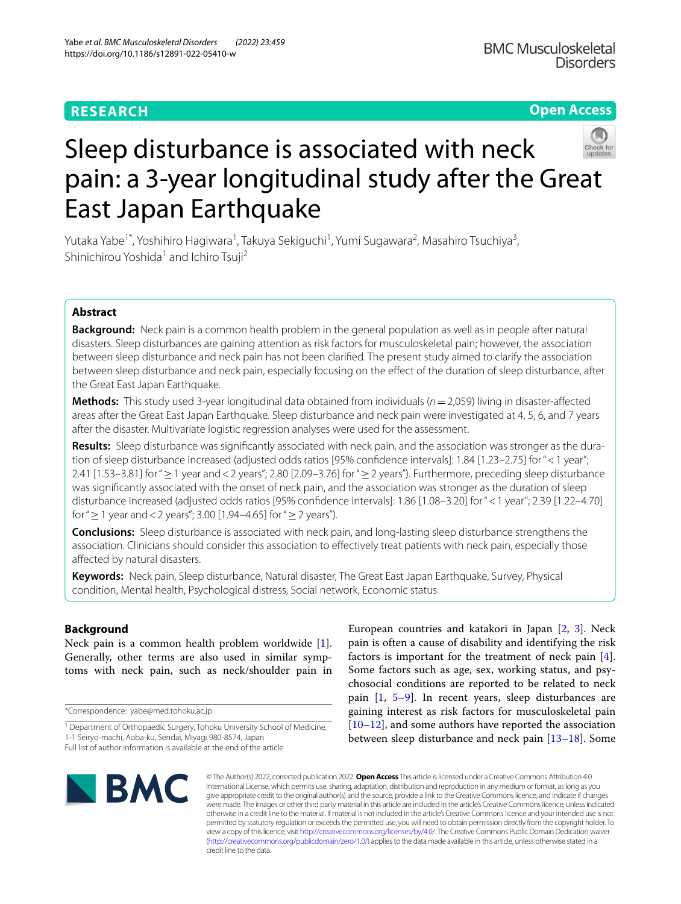# **RESEARCH**

**Open Access**

# Sleep disturbance is associated with neck pain: a 3-year longitudinal study after the Great East Japan Earthquake

Yutaka Yabe<sup>1\*</sup>, Yoshihiro Hagiwara<sup>1</sup>, Takuya Sekiguchi<sup>1</sup>, Yumi Sugawara<sup>2</sup>, Masahiro Tsuchiya<sup>3</sup>, Shinichirou Yoshida<sup>1</sup> and Ichiro Tsuji<sup>2</sup>

# **Abstract**

**Background:** Neck pain is a common health problem in the general population as well as in people after natural disasters. Sleep disturbances are gaining attention as risk factors for musculoskeletal pain; however, the association between sleep disturbance and neck pain has not been clarifed. The present study aimed to clarify the association between sleep disturbance and neck pain, especially focusing on the effect of the duration of sleep disturbance, after the Great East Japan Earthquake.

**Methods:** This study used 3-year longitudinal data obtained from individuals (*n*=2,059) living in disaster-afected areas after the Great East Japan Earthquake. Sleep disturbance and neck pain were investigated at 4, 5, 6, and 7 years after the disaster. Multivariate logistic regression analyses were used for the assessment.

**Results:** Sleep disturbance was signifcantly associated with neck pain, and the association was stronger as the duration of sleep disturbance increased (adjusted odds ratios [95% confdence intervals]: 1.84 [1.23–2.75] for "<1 year"; 2.41 [1.53–3.81] for "≥1 year and<2 years"; 2.80 [2.09–3.76] for "≥2 years"). Furthermore, preceding sleep disturbance was signifcantly associated with the onset of neck pain, and the association was stronger as the duration of sleep disturbance increased (adjusted odds ratios [95% confdence intervals]: 1.86 [1.08–3.20] for "<1 year"; 2.39 [1.22–4.70] for " $\geq$  1 year and < 2 years"; 3.00 [1.94–4.65] for " $\geq$  2 years").

**Conclusions:** Sleep disturbance is associated with neck pain, and long-lasting sleep disturbance strengthens the association. Clinicians should consider this association to efectively treat patients with neck pain, especially those afected by natural disasters.

**Keywords:** Neck pain, Sleep disturbance, Natural disaster, The Great East Japan Earthquake, Survey, Physical condition, Mental health, Psychological distress, Social network, Economic status

# **Background**

Neck pain is a common health problem worldwide [\[1](#page-7-0)]. Generally, other terms are also used in similar symptoms with neck pain, such as neck/shoulder pain in

\*Correspondence: yabe@med.tohoku.ac.jp

European countries and katakori in Japan [\[2,](#page-7-1) [3](#page-7-2)]. Neck pain is often a cause of disability and identifying the risk factors is important for the treatment of neck pain [\[4](#page-7-3)]. Some factors such as age, sex, working status, and psychosocial conditions are reported to be related to neck pain [[1,](#page-7-0) [5](#page-7-4)[–9](#page-7-5)]. In recent years, sleep disturbances are gaining interest as risk factors for musculoskeletal pain [[10–](#page-7-6)[12\]](#page-7-7), and some authors have reported the association between sleep disturbance and neck pain [[13](#page-7-8)[–18](#page-7-9)]. Some



© The Author(s) 2022, corrected publication 2022. **Open Access** This article is licensed under a Creative Commons Attribution 4.0 International License, which permits use, sharing, adaptation, distribution and reproduction in any medium or format, as long as you give appropriate credit to the original author(s) and the source, provide a link to the Creative Commons licence, and indicate if changes were made. The images or other third party material in this article are included in the article's Creative Commons licence, unless indicated otherwise in a credit line to the material. If material is not included in the article's Creative Commons licence and your intended use is not permitted by statutory regulation or exceeds the permitted use, you will need to obtain permission directly from the copyright holder. To view a copy of this licence, visit [http://creativecommons.org/licenses/by/4.0/.](http://creativecommons.org/licenses/by/4.0/) The Creative Commons Public Domain Dedication waiver [\(http://creativecommons.org/publicdomain/zero/1.0/\)](http://creativecommons.org/publicdomain/zero/1.0/) applies to the data made available in this article, unless otherwise stated in a credit line to the data.

<sup>&</sup>lt;sup>1</sup> Department of Orthopaedic Surgery, Tohoku University School of Medicine, 1-1 Seiryo-machi, Aoba-ku, Sendai, Miyagi 980-8574, Japan

Full list of author information is available at the end of the article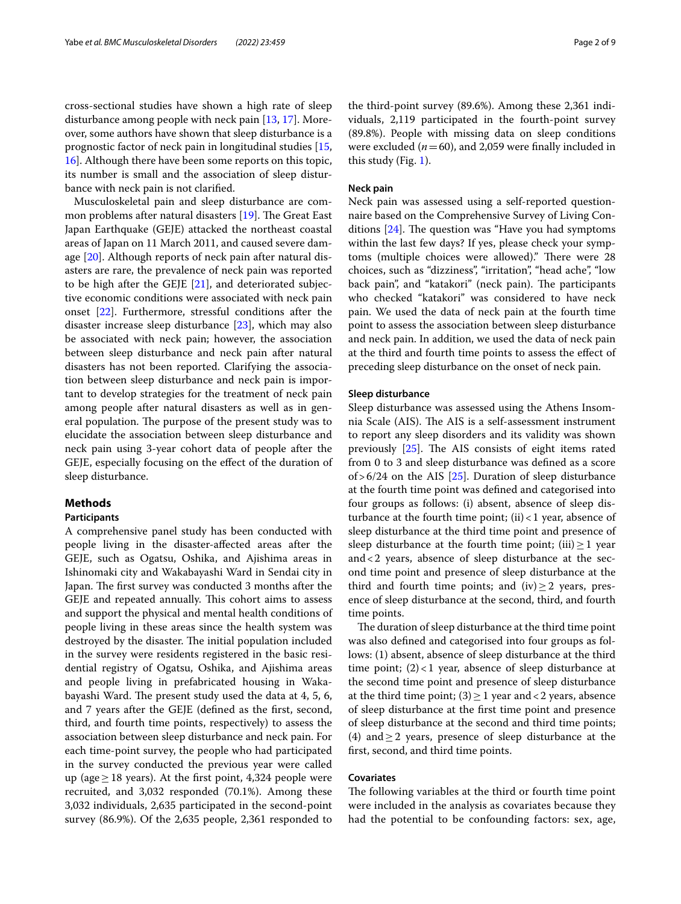cross-sectional studies have shown a high rate of sleep disturbance among people with neck pain [[13](#page-7-8), [17\]](#page-7-10). Moreover, some authors have shown that sleep disturbance is a prognostic factor of neck pain in longitudinal studies [\[15](#page-7-11), [16\]](#page-7-12). Although there have been some reports on this topic, its number is small and the association of sleep disturbance with neck pain is not clarifed.

Musculoskeletal pain and sleep disturbance are common problems after natural disasters  $[19]$  $[19]$ . The Great East Japan Earthquake (GEJE) attacked the northeast coastal areas of Japan on 11 March 2011, and caused severe damage [\[20](#page-7-14)]. Although reports of neck pain after natural disasters are rare, the prevalence of neck pain was reported to be high after the GEJE  $[21]$  $[21]$ , and deteriorated subjective economic conditions were associated with neck pain onset [\[22\]](#page-7-16). Furthermore, stressful conditions after the disaster increase sleep disturbance [\[23](#page-8-0)], which may also be associated with neck pain; however, the association between sleep disturbance and neck pain after natural disasters has not been reported. Clarifying the association between sleep disturbance and neck pain is important to develop strategies for the treatment of neck pain among people after natural disasters as well as in general population. The purpose of the present study was to elucidate the association between sleep disturbance and neck pain using 3-year cohort data of people after the GEJE, especially focusing on the efect of the duration of sleep disturbance.

#### **Methods**

#### **Participants**

A comprehensive panel study has been conducted with people living in the disaster-afected areas after the GEJE, such as Ogatsu, Oshika, and Ajishima areas in Ishinomaki city and Wakabayashi Ward in Sendai city in Japan. The first survey was conducted 3 months after the GEJE and repeated annually. This cohort aims to assess and support the physical and mental health conditions of people living in these areas since the health system was destroyed by the disaster. The initial population included in the survey were residents registered in the basic residential registry of Ogatsu, Oshika, and Ajishima areas and people living in prefabricated housing in Wakabayashi Ward. The present study used the data at 4, 5, 6, and 7 years after the GEJE (defned as the frst, second, third, and fourth time points, respectively) to assess the association between sleep disturbance and neck pain. For each time-point survey, the people who had participated in the survey conducted the previous year were called up (age≥18 years). At the frst point, 4,324 people were recruited, and 3,032 responded (70.1%). Among these 3,032 individuals, 2,635 participated in the second-point survey (86.9%). Of the 2,635 people, 2,361 responded to the third-point survey (89.6%). Among these 2,361 individuals, 2,119 participated in the fourth-point survey (89.8%). People with missing data on sleep conditions were excluded  $(n=60)$ , and 2,059 were finally included in this study (Fig. [1\)](#page-2-0).

#### **Neck pain**

Neck pain was assessed using a self-reported questionnaire based on the Comprehensive Survey of Living Conditions  $[24]$ . The question was "Have you had symptoms within the last few days? If yes, please check your symptoms (multiple choices were allowed)." There were 28 choices, such as "dizziness", "irritation", "head ache", "low back pain", and "katakori" (neck pain). The participants who checked "katakori" was considered to have neck pain. We used the data of neck pain at the fourth time point to assess the association between sleep disturbance and neck pain. In addition, we used the data of neck pain at the third and fourth time points to assess the efect of preceding sleep disturbance on the onset of neck pain.

#### **Sleep disturbance**

Sleep disturbance was assessed using the Athens Insomnia Scale (AIS). The AIS is a self-assessment instrument to report any sleep disorders and its validity was shown previously  $[25]$  $[25]$ . The AIS consists of eight items rated from 0 to 3 and sleep disturbance was defned as a score of >  $6/24$  on the AIS [\[25](#page-8-2)]. Duration of sleep disturbance at the fourth time point was defned and categorised into four groups as follows: (i) absent, absence of sleep disturbance at the fourth time point;  $(ii) < 1$  year, absence of sleep disturbance at the third time point and presence of sleep disturbance at the fourth time point; (iii)  $\geq 1$  year and<2 years, absence of sleep disturbance at the second time point and presence of sleep disturbance at the third and fourth time points; and  $(iv) \ge 2$  years, presence of sleep disturbance at the second, third, and fourth time points.

The duration of sleep disturbance at the third time point was also defned and categorised into four groups as follows: (1) absent, absence of sleep disturbance at the third time point;  $(2)$  < 1 year, absence of sleep disturbance at the second time point and presence of sleep disturbance at the third time point;  $(3) \ge 1$  year and < 2 years, absence of sleep disturbance at the frst time point and presence of sleep disturbance at the second and third time points; (4) and  $\geq$  2 years, presence of sleep disturbance at the frst, second, and third time points.

### **Covariates**

The following variables at the third or fourth time point were included in the analysis as covariates because they had the potential to be confounding factors: sex, age,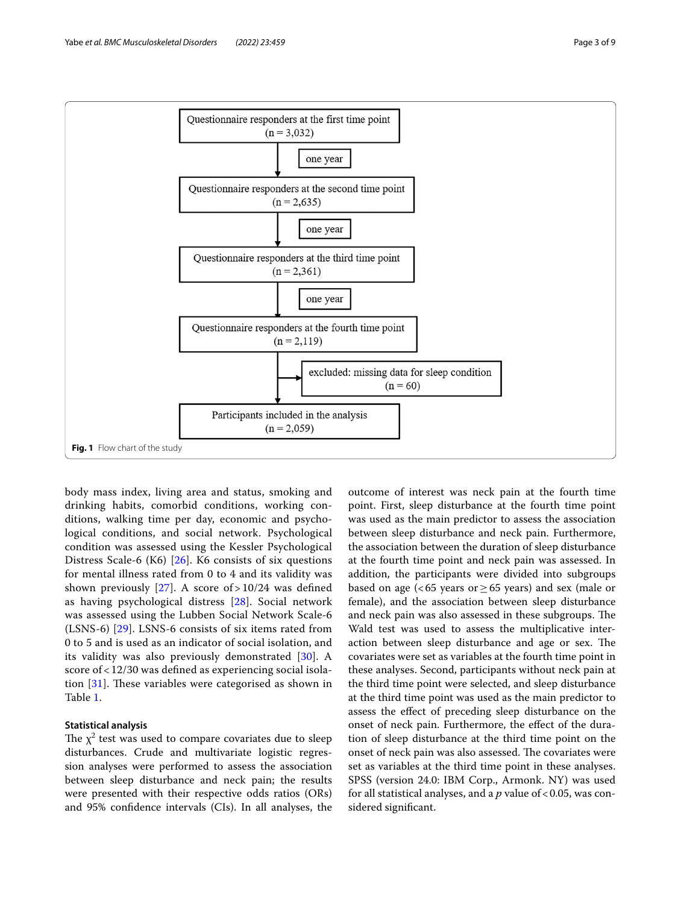

<span id="page-2-0"></span>body mass index, living area and status, smoking and drinking habits, comorbid conditions, working conditions, walking time per day, economic and psychological conditions, and social network. Psychological condition was assessed using the Kessler Psychological Distress Scale-6 (K6) [[26\]](#page-8-3). K6 consists of six questions for mental illness rated from 0 to 4 and its validity was shown previously [[27\]](#page-8-4). A score of  $> 10/24$  was defined as having psychological distress [[28](#page-8-5)]. Social network was assessed using the Lubben Social Network Scale-6 (LSNS-6) [\[29](#page-8-6)]. LSNS-6 consists of six items rated from 0 to 5 and is used as an indicator of social isolation, and its validity was also previously demonstrated [\[30](#page-8-7)]. A score of < 12/30 was defned as experiencing social isolation  $[31]$  $[31]$  $[31]$ . These variables were categorised as shown in Table [1.](#page-3-0)

# **Statistical analysis**

The  $\chi^2$  test was used to compare covariates due to sleep disturbances. Crude and multivariate logistic regression analyses were performed to assess the association between sleep disturbance and neck pain; the results were presented with their respective odds ratios (ORs) and 95% confdence intervals (CIs). In all analyses, the

outcome of interest was neck pain at the fourth time point. First, sleep disturbance at the fourth time point was used as the main predictor to assess the association between sleep disturbance and neck pain. Furthermore, the association between the duration of sleep disturbance at the fourth time point and neck pain was assessed. In addition, the participants were divided into subgroups based on age (<65 years or  $\geq$  65 years) and sex (male or female), and the association between sleep disturbance and neck pain was also assessed in these subgroups. The Wald test was used to assess the multiplicative interaction between sleep disturbance and age or sex. The covariates were set as variables at the fourth time point in these analyses. Second, participants without neck pain at the third time point were selected, and sleep disturbance at the third time point was used as the main predictor to assess the efect of preceding sleep disturbance on the onset of neck pain. Furthermore, the efect of the duration of sleep disturbance at the third time point on the onset of neck pain was also assessed. The covariates were set as variables at the third time point in these analyses. SPSS (version 24.0: IBM Corp., Armonk. NY) was used for all statistical analyses, and a *p* value of < 0.05, was considered signifcant.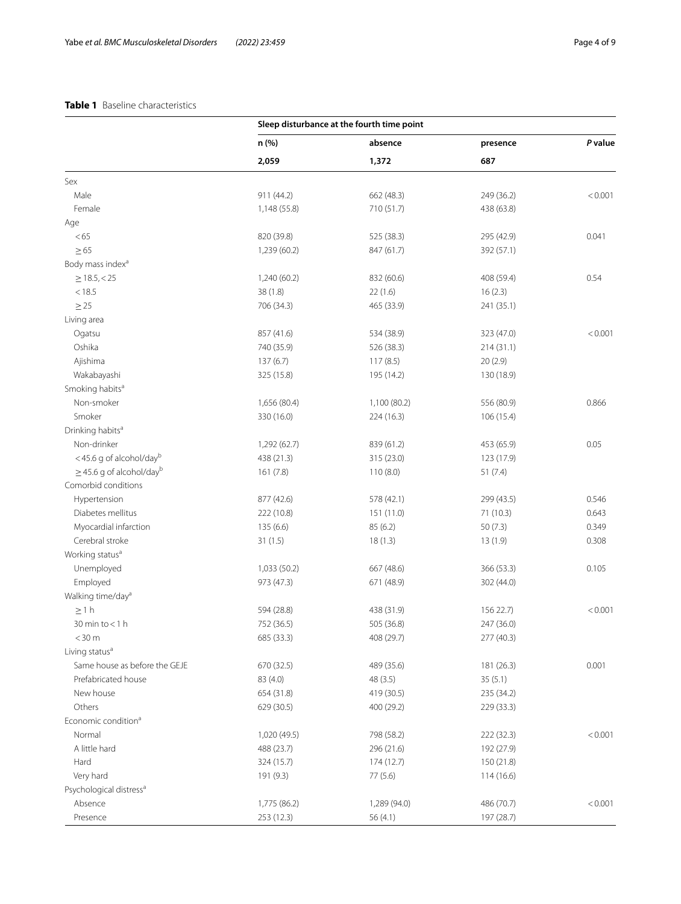# <span id="page-3-0"></span>**Table 1** Baseline characteristics

|                                     |              | Sleep disturbance at the fourth time point |            |         |
|-------------------------------------|--------------|--------------------------------------------|------------|---------|
|                                     | n (%)        | absence                                    | presence   | P value |
|                                     | 2,059        | 1,372                                      | 687        |         |
| Sex                                 |              |                                            |            |         |
| Male                                | 911 (44.2)   | 662 (48.3)                                 | 249 (36.2) | < 0.001 |
| Female                              | 1,148 (55.8) | 710 (51.7)                                 | 438 (63.8) |         |
| Age                                 |              |                                            |            |         |
| < 65                                | 820 (39.8)   | 525 (38.3)                                 | 295 (42.9) | 0.041   |
| $\geq 65$                           | 1,239 (60.2) | 847 (61.7)                                 | 392 (57.1) |         |
| Body mass index <sup>a</sup>        |              |                                            |            |         |
| $\geq$ 18.5, < 25                   | 1,240 (60.2) | 832 (60.6)                                 | 408 (59.4) | 0.54    |
| < 18.5                              | 38 (1.8)     | 22(1.6)                                    | 16(2.3)    |         |
| $\geq$ 25                           | 706 (34.3)   | 465 (33.9)                                 | 241 (35.1) |         |
| Living area                         |              |                                            |            |         |
| Ogatsu                              | 857 (41.6)   | 534 (38.9)                                 | 323 (47.0) | < 0.001 |
| Oshika                              | 740 (35.9)   | 526 (38.3)                                 | 214(31.1)  |         |
| Ajishima                            | 137(6.7)     | 117(8.5)                                   | 20(2.9)    |         |
| Wakabayashi                         | 325 (15.8)   | 195 (14.2)                                 | 130 (18.9) |         |
| Smoking habits <sup>a</sup>         |              |                                            |            |         |
| Non-smoker                          | 1,656 (80.4) | 1,100 (80.2)                               | 556 (80.9) | 0.866   |
| Smoker                              | 330 (16.0)   | 224 (16.3)                                 | 106 (15.4) |         |
| Drinking habits <sup>a</sup>        |              |                                            |            |         |
| Non-drinker                         | 1,292 (62.7) | 839 (61.2)                                 | 453 (65.9) | 0.05    |
| <45.6 g of alcohol/dayb             | 438 (21.3)   | 315 (23.0)                                 | 123 (17.9) |         |
| $\geq$ 45.6 g of alcohol/dayb       | 161(7.8)     | 110(8.0)                                   | 51(7.4)    |         |
| Comorbid conditions                 |              |                                            |            |         |
| Hypertension                        | 877 (42.6)   | 578 (42.1)                                 | 299 (43.5) | 0.546   |
| Diabetes mellitus                   | 222 (10.8)   | 151 (11.0)                                 | 71 (10.3)  | 0.643   |
| Myocardial infarction               | 135 (6.6)    | 85 (6.2)                                   | 50(7.3)    | 0.349   |
| Cerebral stroke                     | 31(1.5)      | 18(1.3)                                    | 13(1.9)    | 0.308   |
| Working status <sup>a</sup>         |              |                                            |            |         |
| Unemployed                          | 1,033 (50.2) | 667 (48.6)                                 | 366 (53.3) | 0.105   |
| Employed                            | 973 (47.3)   | 671 (48.9)                                 | 302 (44.0) |         |
| Walking time/day <sup>a</sup>       |              |                                            |            |         |
| $\geq 1$ h                          | 594 (28.8)   | 438 (31.9)                                 | 156 22.7)  | < 0.001 |
| 30 min to < 1 h                     | 752 (36.5)   | 505 (36.8)                                 | 247 (36.0) |         |
| $<$ 30 m                            | 685 (33.3)   | 408 (29.7)                                 | 277 (40.3) |         |
| Living status <sup>a</sup>          |              |                                            |            |         |
| Same house as before the GEJE       | 670 (32.5)   | 489 (35.6)                                 | 181 (26.3) | 0.001   |
| Prefabricated house                 | 83 (4.0)     | 48 (3.5)                                   | 35(5.1)    |         |
| New house                           | 654 (31.8)   | 419 (30.5)                                 | 235 (34.2) |         |
| Others                              | 629 (30.5)   | 400 (29.2)                                 | 229 (33.3) |         |
| Economic condition <sup>a</sup>     |              |                                            |            |         |
| Normal                              | 1,020 (49.5) | 798 (58.2)                                 | 222 (32.3) | < 0.001 |
| A little hard                       | 488 (23.7)   | 296 (21.6)                                 | 192 (27.9) |         |
| Hard                                | 324 (15.7)   | 174 (12.7)                                 | 150 (21.8) |         |
| Very hard                           | 191 (9.3)    | 77 (5.6)                                   | 114(16.6)  |         |
| Psychological distress <sup>a</sup> |              |                                            |            |         |
| Absence                             | 1,775 (86.2) | 1,289 (94.0)                               | 486 (70.7) | < 0.001 |
| Presence                            | 253 (12.3)   | 56 (4.1)                                   | 197 (28.7) |         |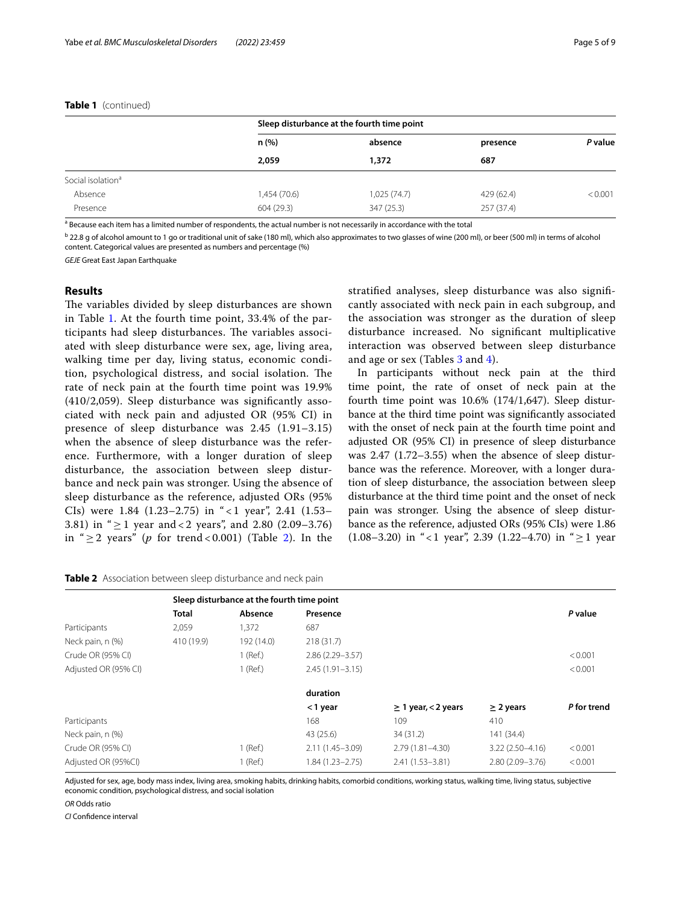#### **Table 1** (continued)

|                               | Sleep disturbance at the fourth time point |             |            |         |  |  |
|-------------------------------|--------------------------------------------|-------------|------------|---------|--|--|
|                               | n(%)                                       | absence     | presence   | P value |  |  |
|                               | 2.059                                      | 1,372       | 687        |         |  |  |
| Social isolation <sup>a</sup> |                                            |             |            |         |  |  |
| Absence                       | 1,454 (70.6)                               | 1,025(74.7) | 429 (62.4) | < 0.001 |  |  |
| Presence                      | 604 (29.3)                                 | 347(25.3)   | 257(37.4)  |         |  |  |

<sup>a</sup> Because each item has a limited number of respondents, the actual number is not necessarily in accordance with the total

 $^{\rm b}$  22.8 g of alcohol amount to 1 go or traditional unit of sake (180 ml), which also approximates to two glasses of wine (200 ml), or beer (500 ml) in terms of alcohol content. Categorical values are presented as numbers and percentage (%)

*GEJE* Great East Japan Earthquake

#### **Results**

The variables divided by sleep disturbances are shown in Table [1.](#page-3-0) At the fourth time point, 33.4% of the participants had sleep disturbances. The variables associated with sleep disturbance were sex, age, living area, walking time per day, living status, economic condition, psychological distress, and social isolation. The rate of neck pain at the fourth time point was 19.9% (410/2,059). Sleep disturbance was signifcantly associated with neck pain and adjusted OR (95% CI) in presence of sleep disturbance was 2.45 (1.91–3.15) when the absence of sleep disturbance was the reference. Furthermore, with a longer duration of sleep disturbance, the association between sleep disturbance and neck pain was stronger. Using the absence of sleep disturbance as the reference, adjusted ORs (95% CIs) were  $1.84$  (1.23–2.75) in " < 1 year", 2.41 (1.53– 3.81) in " $\geq$  1 year and < 2 years", and 2.80 (2.09–3.76) in " $\geq$  2 years" (*p* for trend < 0.001) (Table [2\)](#page-4-0). In the stratifed analyses, sleep disturbance was also signifcantly associated with neck pain in each subgroup, and the association was stronger as the duration of sleep disturbance increased. No signifcant multiplicative interaction was observed between sleep disturbance and age or sex (Tables [3](#page-5-0) and [4](#page-5-1)).

In participants without neck pain at the third time point, the rate of onset of neck pain at the fourth time point was  $10.6\%$  (174/1,647). Sleep disturbance at the third time point was signifcantly associated with the onset of neck pain at the fourth time point and adjusted OR (95% CI) in presence of sleep disturbance was 2.47 (1.72–3.55) when the absence of sleep disturbance was the reference. Moreover, with a longer duration of sleep disturbance, the association between sleep disturbance at the third time point and the onset of neck pain was stronger. Using the absence of sleep disturbance as the reference, adjusted ORs (95% CIs) were 1.86 (1.08–3.20) in "<1 year", 2.39 (1.22–4.70) in " $\geq$ 1 year

<span id="page-4-0"></span>

|  |  | Table 2 Association between sleep disturbance and neck pain |  |  |  |
|--|--|-------------------------------------------------------------|--|--|--|
|--|--|-------------------------------------------------------------|--|--|--|

|                      | Sleep disturbance at the fourth time point |            |                     |                          |                     |             |
|----------------------|--------------------------------------------|------------|---------------------|--------------------------|---------------------|-------------|
|                      | <b>Total</b>                               | Absence    | Presence            |                          |                     | P value     |
| Participants         | 2.059                                      | 1,372      | 687                 |                          |                     |             |
| Neck pain, n (%)     | 410 (19.9)                                 | 192 (14.0) | 218(31.7)           |                          |                     |             |
| Crude OR (95% CI)    |                                            | $1$ (Ref.) | $2.86(2.29 - 3.57)$ |                          |                     | < 0.001     |
| Adjusted OR (95% CI) |                                            | $1$ (Ref.) | $2.45(1.91 - 3.15)$ |                          |                     | < 0.001     |
|                      |                                            |            | duration            |                          |                     |             |
|                      |                                            |            | <1 year             | $\geq$ 1 year, < 2 years | $\geq$ 2 years      | P for trend |
| Participants         |                                            |            | 168                 | 109                      | 410                 |             |
| Neck pain, n (%)     |                                            |            | 43 (25.6)           | 34 (31.2)                | 141 (34.4)          |             |
| Crude OR (95% CI)    |                                            | $1$ (Ref.) | $2.11(1.45 - 3.09)$ | $2.79(1.81 - 4.30)$      | $3.22(2.50 - 4.16)$ | < 0.001     |
| Adjusted OR (95%CI)  |                                            | $1$ (Ref.) | $1.84(1.23 - 2.75)$ | $2.41(1.53 - 3.81)$      | $2.80(2.09 - 3.76)$ | < 0.001     |
|                      |                                            |            |                     |                          |                     |             |

Adjusted for sex, age, body mass index, living area, smoking habits, drinking habits, comorbid conditions, working status, walking time, living status, subjective economic condition, psychological distress, and social isolation

*OR* Odds ratio

*CI* Confdence interval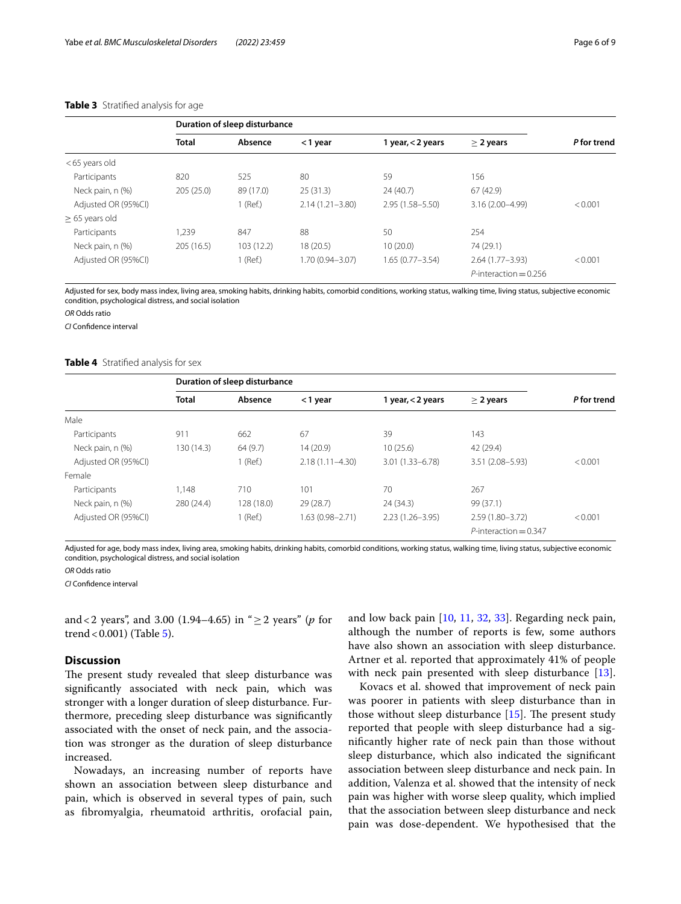#### <span id="page-5-0"></span>**Table 3** Stratifed analysis for age

|                     |              | Duration of sleep disturbance |                     |                     |                                 |             |
|---------------------|--------------|-------------------------------|---------------------|---------------------|---------------------------------|-------------|
|                     | <b>Total</b> | Absence                       | <1 year             | 1 year, < 2 years   | $\geq$ 2 years                  | P for trend |
| <65 years old       |              |                               |                     |                     |                                 |             |
| Participants        | 820          | 525                           | 80                  | 59                  | 156                             |             |
| Neck pain, n (%)    | 205(25.0)    | 89 (17.0)                     | 25(31.3)            | 24 (40.7)           | 67(42.9)                        |             |
| Adjusted OR (95%CI) |              | I (Ref.)                      | $2.14(1.21 - 3.80)$ | $2.95(1.58 - 5.50)$ | 3.16 (2.00-4.99)                | < 0.001     |
| $\geq$ 65 years old |              |                               |                     |                     |                                 |             |
| Participants        | 1.239        | 847                           | 88                  | 50                  | 254                             |             |
| Neck pain, n (%)    | 205(16.5)    | 103(12.2)                     | 18(20.5)            | 10(20.0)            | 74 (29.1)                       |             |
| Adjusted OR (95%CI) |              | 1 (Ref.)                      | 1.70 (0.94 - 3.07)  | $1.65(0.77 - 3.54)$ | $2.64(1.77 - 3.93)$             | < 0.001     |
|                     |              |                               |                     |                     | $P\text{-}$ interaction = 0.256 |             |

Adjusted for sex, body mass index, living area, smoking habits, drinking habits, comorbid conditions, working status, walking time, living status, subjective economic condition, psychological distress, and social isolation

*OR* Odds ratio

*CI* Confdence interval

#### <span id="page-5-1"></span>**Table 4** Stratifed analysis for sex

|                     |              | Duration of sleep disturbance |                     |                     |                          |             |
|---------------------|--------------|-------------------------------|---------------------|---------------------|--------------------------|-------------|
|                     | <b>Total</b> | Absence                       | <1 year             | 1 year, < 2 years   | $\geq$ 2 years           | P for trend |
| Male                |              |                               |                     |                     |                          |             |
| Participants        | 911          | 662                           | 67                  | 39                  | 143                      |             |
| Neck pain, n (%)    | 130 (14.3)   | 64(9.7)                       | 14(20.9)            | 10(25.6)            | 42 (29.4)                |             |
| Adjusted OR (95%CI) |              | 1 (Ref.)                      | $2.18(1.11 - 4.30)$ | $3.01(1.33 - 6.78)$ | 3.51 (2.08-5.93)         | < 0.001     |
| Female              |              |                               |                     |                     |                          |             |
| Participants        | 1.148        | 710                           | 101                 | 70                  | 267                      |             |
| Neck pain, n (%)    | 280 (24.4)   | 128 (18.0)                    | 29 (28.7)           | 24(34.3)            | 99 (37.1)                |             |
| Adjusted OR (95%CI) |              | 1 (Ref.)                      | 1.63 (0.98-2.71)    | $2.23(1.26 - 3.95)$ | $2.59(1.80 - 3.72)$      | < 0.001     |
|                     |              |                               |                     |                     | $P$ -interaction = 0.347 |             |

Adjusted for age, body mass index, living area, smoking habits, drinking habits, comorbid conditions, working status, walking time, living status, subjective economic condition, psychological distress, and social isolation

#### *OR* Odds ratio

*CI* Confdence interval

and<2 years", and 3.00 (1.94–4.65) in "≥2 years" (*p* for trend <  $0.001$ ) (Table  $5$ ).

# **Discussion**

The present study revealed that sleep disturbance was signifcantly associated with neck pain, which was stronger with a longer duration of sleep disturbance. Furthermore, preceding sleep disturbance was signifcantly associated with the onset of neck pain, and the association was stronger as the duration of sleep disturbance increased.

Nowadays, an increasing number of reports have shown an association between sleep disturbance and pain, which is observed in several types of pain, such as fbromyalgia, rheumatoid arthritis, orofacial pain, and low back pain [\[10,](#page-7-6) [11](#page-7-17), [32](#page-8-9), [33](#page-8-10)]. Regarding neck pain, although the number of reports is few, some authors have also shown an association with sleep disturbance. Artner et al. reported that approximately 41% of people with neck pain presented with sleep disturbance [\[13](#page-7-8)].

Kovacs et al. showed that improvement of neck pain was poorer in patients with sleep disturbance than in those without sleep disturbance  $[15]$  $[15]$ . The present study reported that people with sleep disturbance had a signifcantly higher rate of neck pain than those without sleep disturbance, which also indicated the signifcant association between sleep disturbance and neck pain. In addition, Valenza et al. showed that the intensity of neck pain was higher with worse sleep quality, which implied that the association between sleep disturbance and neck pain was dose-dependent. We hypothesised that the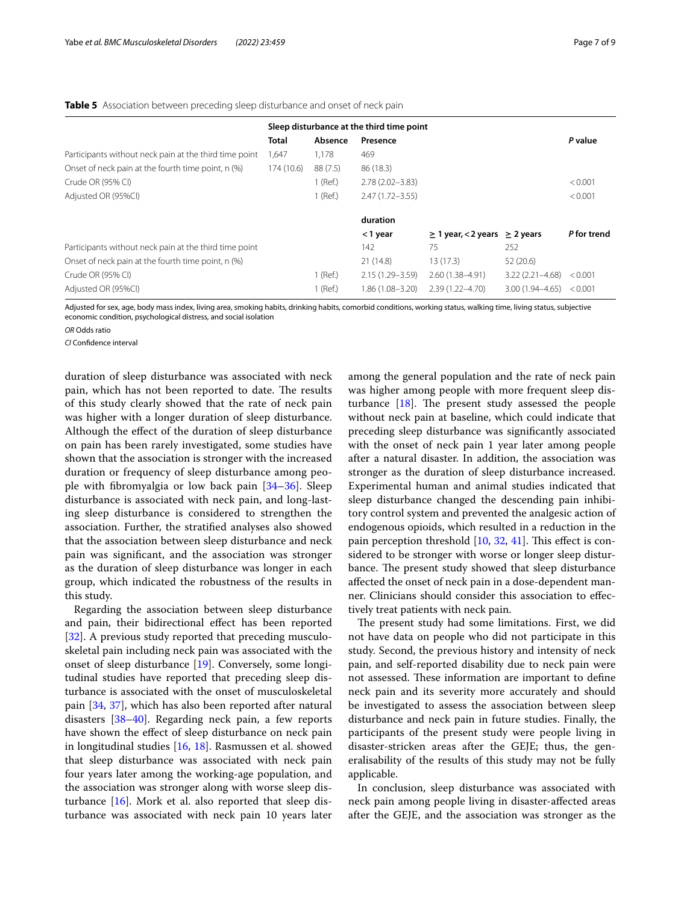|                                                        |              | Sleep disturbance at the third time point |                     |                                         |                     |             |
|--------------------------------------------------------|--------------|-------------------------------------------|---------------------|-----------------------------------------|---------------------|-------------|
|                                                        | <b>Total</b> | Absence                                   | Presence            |                                         |                     | P value     |
| Participants without neck pain at the third time point | 1,647        | 1,178                                     | 469                 |                                         |                     |             |
| Onset of neck pain at the fourth time point, n (%)     | 174(10.6)    | 88 (7.5)                                  | 86 (18.3)           |                                         |                     |             |
| Crude OR (95% CI)                                      |              | $1$ (Ref.)                                | $2.78(2.02 - 3.83)$ |                                         |                     | < 0.001     |
| Adjusted OR (95%CI)                                    |              | 1 (Ref.)                                  | $2.47(1.72 - 3.55)$ |                                         |                     | < 0.001     |
|                                                        |              |                                           | duration            |                                         |                     |             |
|                                                        |              |                                           | <1 year             | $\geq$ 1 year, < 2 years $\geq$ 2 years |                     | P for trend |
| Participants without neck pain at the third time point |              |                                           | 142                 | 75                                      | 252                 |             |
| Onset of neck pain at the fourth time point, n (%)     |              |                                           | 21(14.8)            | 13 (17.3)                               | 52(20.6)            |             |
| Crude OR (95% CI)                                      |              | 1 (Ref.)                                  | 2.15 (1.29 - 3.59)  | $2.60(1.38 - 4.91)$                     | $3.22(2.21 - 4.68)$ | < 0.001     |
| Adjusted OR (95%CI)                                    |              | 1 (Ref.)                                  | 1.86 (1.08-3.20)    | $2.39(1.22 - 4.70)$                     | $3.00(1.94 - 4.65)$ | < 0.001     |

#### <span id="page-6-0"></span>**Table 5** Association between preceding sleep disturbance and onset of neck pain

Adjusted for sex, age, body mass index, living area, smoking habits, drinking habits, comorbid conditions, working status, walking time, living status, subjective economic condition, psychological distress, and social isolation

*OR* Odds ratio

*CI* Confdence interval

duration of sleep disturbance was associated with neck pain, which has not been reported to date. The results of this study clearly showed that the rate of neck pain was higher with a longer duration of sleep disturbance. Although the efect of the duration of sleep disturbance on pain has been rarely investigated, some studies have shown that the association is stronger with the increased duration or frequency of sleep disturbance among people with fbromyalgia or low back pain [[34–](#page-8-11)[36\]](#page-8-12). Sleep disturbance is associated with neck pain, and long-lasting sleep disturbance is considered to strengthen the association. Further, the stratifed analyses also showed that the association between sleep disturbance and neck pain was signifcant, and the association was stronger as the duration of sleep disturbance was longer in each group, which indicated the robustness of the results in this study.

Regarding the association between sleep disturbance and pain, their bidirectional efect has been reported [[32\]](#page-8-9). A previous study reported that preceding musculoskeletal pain including neck pain was associated with the onset of sleep disturbance [\[19](#page-7-13)]. Conversely, some longitudinal studies have reported that preceding sleep disturbance is associated with the onset of musculoskeletal pain [[34,](#page-8-11) [37\]](#page-8-13), which has also been reported after natural disasters [\[38](#page-8-14)–[40\]](#page-8-15). Regarding neck pain, a few reports have shown the efect of sleep disturbance on neck pain in longitudinal studies [[16,](#page-7-12) [18\]](#page-7-9). Rasmussen et al. showed that sleep disturbance was associated with neck pain four years later among the working-age population, and the association was stronger along with worse sleep disturbance  $[16]$  $[16]$ . Mork et al. also reported that sleep disturbance was associated with neck pain 10 years later among the general population and the rate of neck pain was higher among people with more frequent sleep disturbance  $[18]$  $[18]$ . The present study assessed the people without neck pain at baseline, which could indicate that preceding sleep disturbance was signifcantly associated with the onset of neck pain 1 year later among people after a natural disaster. In addition, the association was stronger as the duration of sleep disturbance increased. Experimental human and animal studies indicated that sleep disturbance changed the descending pain inhibitory control system and prevented the analgesic action of endogenous opioids, which resulted in a reduction in the pain perception threshold  $[10, 32, 41]$  $[10, 32, 41]$  $[10, 32, 41]$  $[10, 32, 41]$  $[10, 32, 41]$ . This effect is considered to be stronger with worse or longer sleep disturbance. The present study showed that sleep disturbance afected the onset of neck pain in a dose-dependent manner. Clinicians should consider this association to efectively treat patients with neck pain.

The present study had some limitations. First, we did not have data on people who did not participate in this study. Second, the previous history and intensity of neck pain, and self-reported disability due to neck pain were not assessed. These information are important to define neck pain and its severity more accurately and should be investigated to assess the association between sleep disturbance and neck pain in future studies. Finally, the participants of the present study were people living in disaster-stricken areas after the GEJE; thus, the generalisability of the results of this study may not be fully applicable.

In conclusion, sleep disturbance was associated with neck pain among people living in disaster-afected areas after the GEJE, and the association was stronger as the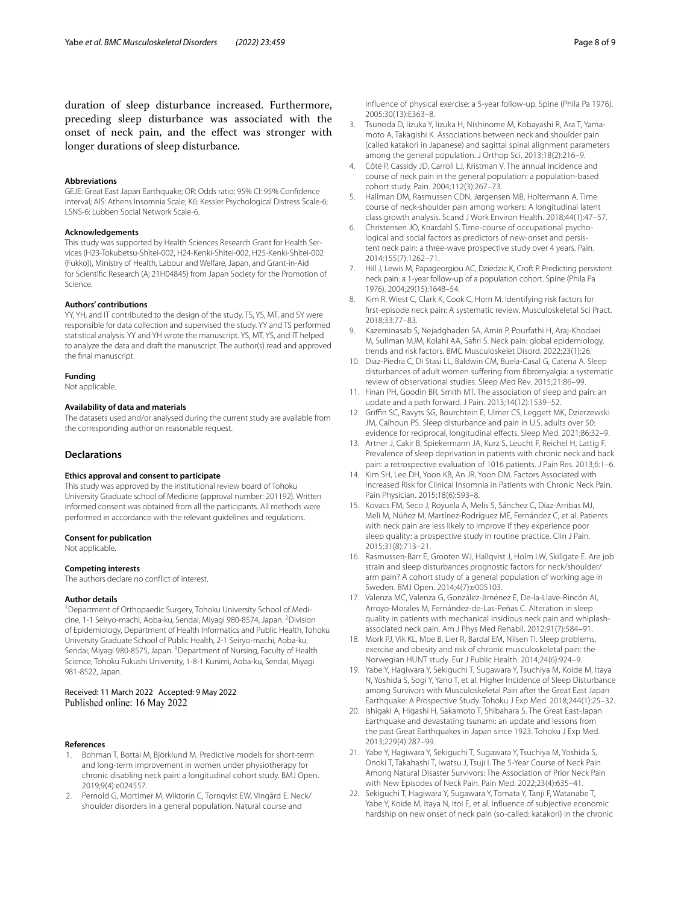duration of sleep disturbance increased. Furthermore, preceding sleep disturbance was associated with the onset of neck pain, and the efect was stronger with longer durations of sleep disturbance.

#### **Abbreviations**

GEJE: Great East Japan Earthquake; OR: Odds ratio; 95% CI: 95% Confidence interval; AIS: Athens Insomnia Scale; K6: Kessler Psychological Distress Scale-6; LSNS-6: Lubben Social Network Scale-6.

#### **Acknowledgements**

This study was supported by Health Sciences Research Grant for Health Services (H23-Tokubetsu-Shitei-002, H24-Kenki-Shitei-002, H25-Kenki-Shitei-002 (Fukko)), Ministry of Health, Labour and Welfare, Japan, and Grant-in-Aid for Scientifc Research (A; 21H04845) from Japan Society for the Promotion of Science.

#### **Authors' contributions**

YY, YH, and IT contributed to the design of the study. TS, YS, MT, and SY were responsible for data collection and supervised the study. YY and TS performed statistical analysis. YY and YH wrote the manuscript. YS, MT, YS, and IT helped to analyze the data and draft the manuscript. The author(s) read and approved the fnal manuscript.

#### **Funding**

Not applicable.

#### **Availability of data and materials**

The datasets used and/or analysed during the current study are available from the corresponding author on reasonable request.

#### **Declarations**

#### **Ethics approval and consent to participate**

This study was approved by the institutional review board of Tohoku University Graduate school of Medicine (approval number: 201192). Written informed consent was obtained from all the participants. All methods were performed in accordance with the relevant guidelines and regulations.

#### **Consent for publication**

Not applicable.

#### **Competing interests**

The authors declare no confict of interest.

#### **Author details**

<sup>1</sup> Department of Orthopaedic Surgery, Tohoku University School of Medicine, 1-1 Seiryo-machi, Aoba-ku, Sendai, Miyagi 980-8574, Japan. <sup>2</sup>Division of Epidemiology, Department of Health Informatics and Public Health, Tohoku University Graduate School of Public Health, 2-1 Seiryo-machi, Aoba-ku, Sendai, Miyagi 980-8575, Japan. <sup>3</sup>Department of Nursing, Faculty of Health Science, Tohoku Fukushi University, 1-8-1 Kunimi, Aoba-ku, Sendai, Miyagi 981-8522, Japan.

# Received: 11 March 2022 Accepted: 9 May 2022 Published online: 16 May 2022

#### **References**

- <span id="page-7-0"></span>1. Bohman T, Bottai M, Björklund M. Predictive models for short-term and long-term improvement in women under physiotherapy for chronic disabling neck pain: a longitudinal cohort study. BMJ Open. 2019;9(4):e024557.
- <span id="page-7-1"></span>2. Pernold G, Mortimer M, Wiktorin C, Tornqvist EW, Vingård E. Neck/ shoulder disorders in a general population. Natural course and
- <span id="page-7-2"></span>3. Tsunoda D, Iizuka Y, Iizuka H, Nishinome M, Kobayashi R, Ara T, Yamamoto A, Takagishi K. Associations between neck and shoulder pain (called katakori in Japanese) and sagittal spinal alignment parameters among the general population. J Orthop Sci. 2013;18(2):216–9.
- <span id="page-7-3"></span>4. Côté P, Cassidy JD, Carroll LJ, Kristman V. The annual incidence and course of neck pain in the general population: a population-based cohort study. Pain. 2004;112(3):267–73.
- <span id="page-7-4"></span>5. Hallman DM, Rasmussen CDN, Jørgensen MB, Holtermann A. Time course of neck-shoulder pain among workers: A longitudinal latent class growth analysis. Scand J Work Environ Health. 2018;44(1):47–57.
- 6. Christensen JO, Knardahl S. Time-course of occupational psychological and social factors as predictors of new-onset and persistent neck pain: a three-wave prospective study over 4 years. Pain. 2014;155(7):1262–71.
- 7. Hill J, Lewis M, Papageorgiou AC, Dziedzic K, Croft P. Predicting persistent neck pain: a 1-year follow-up of a population cohort. Spine (Phila Pa 1976). 2004;29(15):1648–54.
- 8. Kim R, Wiest C, Clark K, Cook C, Horn M. Identifying risk factors for frst-episode neck pain: A systematic review. Musculoskeletal Sci Pract. 2018;33:77–83.
- <span id="page-7-5"></span>9. Kazeminasab S, Nejadghaderi SA, Amiri P, Pourfathi H, Araj-Khodaei M, Sullman MJM, Kolahi AA, Safri S. Neck pain: global epidemiology, trends and risk factors. BMC Musculoskelet Disord. 2022;23(1):26.
- <span id="page-7-6"></span>10. Diaz-Piedra C, Di Stasi LL, Baldwin CM, Buela-Casal G, Catena A. Sleep disturbances of adult women sufering from fbromyalgia: a systematic review of observational studies. Sleep Med Rev. 2015;21:86–99.
- <span id="page-7-17"></span>11. Finan PH, Goodin BR, Smith MT. The association of sleep and pain: an update and a path forward. J Pain. 2013;14(12):1539–52.
- <span id="page-7-7"></span>12 Grifn SC, Ravyts SG, Bourchtein E, Ulmer CS, Leggett MK, Dzierzewski JM, Calhoun PS. Sleep disturbance and pain in U.S. adults over 50: evidence for reciprocal, longitudinal effects. Sleep Med. 2021;86:32-9.
- <span id="page-7-8"></span>13. Artner J, Cakir B, Spiekermann JA, Kurz S, Leucht F, Reichel H, Lattig F. Prevalence of sleep deprivation in patients with chronic neck and back pain: a retrospective evaluation of 1016 patients. J Pain Res. 2013;6:1–6.
- 14. Kim SH, Lee DH, Yoon KB, An JR, Yoon DM. Factors Associated with Increased Risk for Clinical Insomnia in Patients with Chronic Neck Pain. Pain Physician. 2015;18(6):593–8.
- <span id="page-7-11"></span>15. Kovacs FM, Seco J, Royuela A, Melis S, Sánchez C, Díaz-Arribas MJ, Meli M, Núñez M, Martínez-Rodríguez ME, Fernández C, et al. Patients with neck pain are less likely to improve if they experience poor sleep quality: a prospective study in routine practice. Clin J Pain. 2015;31(8):713–21.
- <span id="page-7-12"></span>16. Rasmussen-Barr E, Grooten WJ, Hallqvist J, Holm LW, Skillgate E. Are job strain and sleep disturbances prognostic factors for neck/shoulder/ arm pain? A cohort study of a general population of working age in Sweden. BMJ Open. 2014;4(7):e005103.
- <span id="page-7-10"></span>17. Valenza MC, Valenza G, González-Jiménez E, De-la-Llave-Rincón AI, Arroyo-Morales M, Fernández-de-Las-Peñas C. Alteration in sleep quality in patients with mechanical insidious neck pain and whiplashassociated neck pain. Am J Phys Med Rehabil. 2012;91(7):584–91.
- <span id="page-7-9"></span>18. Mork PJ, Vik KL, Moe B, Lier R, Bardal EM, Nilsen TI. Sleep problems, exercise and obesity and risk of chronic musculoskeletal pain: the Norwegian HUNT study. Eur J Public Health. 2014;24(6):924–9.
- <span id="page-7-13"></span>19. Yabe Y, Hagiwara Y, Sekiguchi T, Sugawara Y, Tsuchiya M, Koide M, Itaya N, Yoshida S, Sogi Y, Yano T, et al. Higher Incidence of Sleep Disturbance among Survivors with Musculoskeletal Pain after the Great East Japan Earthquake: A Prospective Study. Tohoku J Exp Med. 2018;244(1):25–32.
- <span id="page-7-14"></span>20. Ishigaki A, Higashi H, Sakamoto T, Shibahara S. The Great East-Japan Earthquake and devastating tsunami: an update and lessons from the past Great Earthquakes in Japan since 1923. Tohoku J Exp Med. 2013;229(4):287–99.
- <span id="page-7-15"></span>21. Yabe Y, Hagiwara Y, Sekiguchi T, Sugawara Y, Tsuchiya M, Yoshida S, Onoki T, Takahashi T, Iwatsu J, Tsuji I. The 5-Year Course of Neck Pain Among Natural Disaster Survivors: The Association of Prior Neck Pain with New Episodes of Neck Pain. Pain Med. 2022;23(4):635–41.
- <span id="page-7-16"></span>22. Sekiguchi T, Hagiwara Y, Sugawara Y, Tomata Y, Tanji F, Watanabe T, Yabe Y, Koide M, Itaya N, Itoi E, et al. Infuence of subjective economic hardship on new onset of neck pain (so-called: katakori) in the chronic